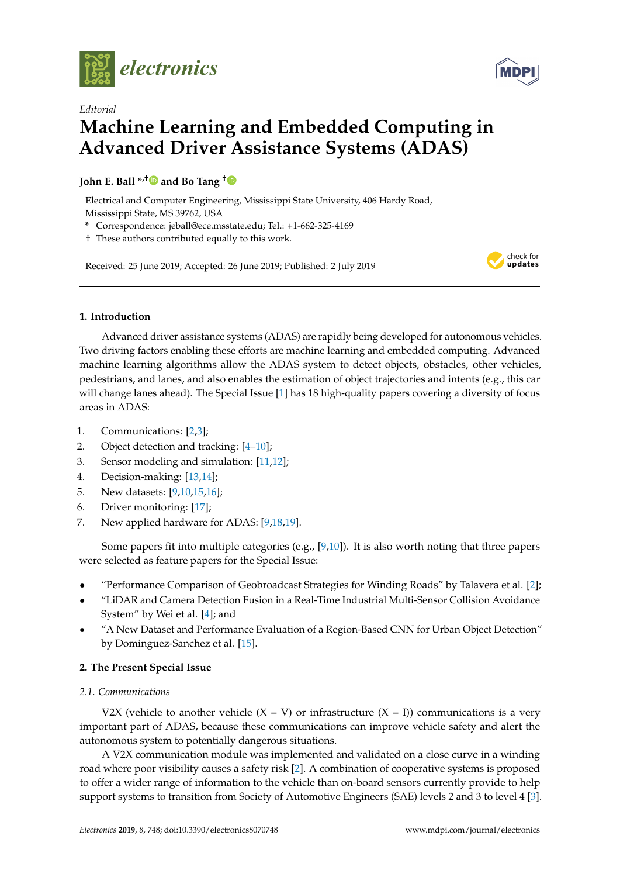



# *Editorial* **Machine Learning and Embedded Computing in Advanced Driver Assistance Systems (ADAS)**

# **John E. Ball \*,[†](https://orcid.org/0000-0002-6774-4851) and Bo Tang [†](https://orcid.org/0000-0001-5708-766X)**

Electrical and Computer Engineering, Mississippi State University, 406 Hardy Road, Mississippi State, MS 39762, USA

- **\*** Correspondence: jeball@ece.msstate.edu; Tel.: +1-662-325-4169
- † These authors contributed equally to this work.

Received: 25 June 2019; Accepted: 26 June 2019; Published: 2 July 2019



# **1. Introduction**

Advanced driver assistance systems (ADAS) are rapidly being developed for autonomous vehicles. Two driving factors enabling these efforts are machine learning and embedded computing. Advanced machine learning algorithms allow the ADAS system to detect objects, obstacles, other vehicles, pedestrians, and lanes, and also enables the estimation of object trajectories and intents (e.g., this car will change lanes ahead). The Special Issue [\[1\]](#page-2-0) has 18 high-quality papers covering a diversity of focus areas in ADAS:

- 1. Communications: [\[2](#page-2-1)[,3\]](#page-3-0);
- 2. Object detection and tracking: [\[4](#page-3-1)[–10\]](#page-3-2);
- 3. Sensor modeling and simulation: [\[11,](#page-3-3)[12\]](#page-3-4);
- 4. Decision-making: [\[13](#page-3-5)[,14\]](#page-3-6);
- 5. New datasets: [\[9,](#page-3-7)[10,](#page-3-2)[15,](#page-3-8)[16\]](#page-3-9);
- 6. Driver monitoring: [\[17\]](#page-3-10);
- 7. New applied hardware for ADAS: [\[9](#page-3-7)[,18](#page-3-11)[,19\]](#page-3-12).

Some papers fit into multiple categories (e.g., [\[9](#page-3-7)[,10\]](#page-3-2)). It is also worth noting that three papers were selected as feature papers for the Special Issue:

- "Performance Comparison of Geobroadcast Strategies for Winding Roads" by Talavera et al. [\[2\]](#page-2-1);
- "LiDAR and Camera Detection Fusion in a Real-Time Industrial Multi-Sensor Collision Avoidance System" by Wei et al. [\[4\]](#page-3-1); and
- "A New Dataset and Performance Evaluation of a Region-Based CNN for Urban Object Detection" by Dominguez-Sanchez et al. [\[15\]](#page-3-8).

# **2. The Present Special Issue**

# *2.1. Communications*

V2X (vehicle to another vehicle  $(X = V)$  or infrastructure  $(X = I)$ ) communications is a very important part of ADAS, because these communications can improve vehicle safety and alert the autonomous system to potentially dangerous situations.

A V2X communication module was implemented and validated on a close curve in a winding road where poor visibility causes a safety risk [\[2\]](#page-2-1). A combination of cooperative systems is proposed to offer a wider range of information to the vehicle than on-board sensors currently provide to help support systems to transition from Society of Automotive Engineers (SAE) levels 2 and 3 to level 4 [\[3\]](#page-3-0).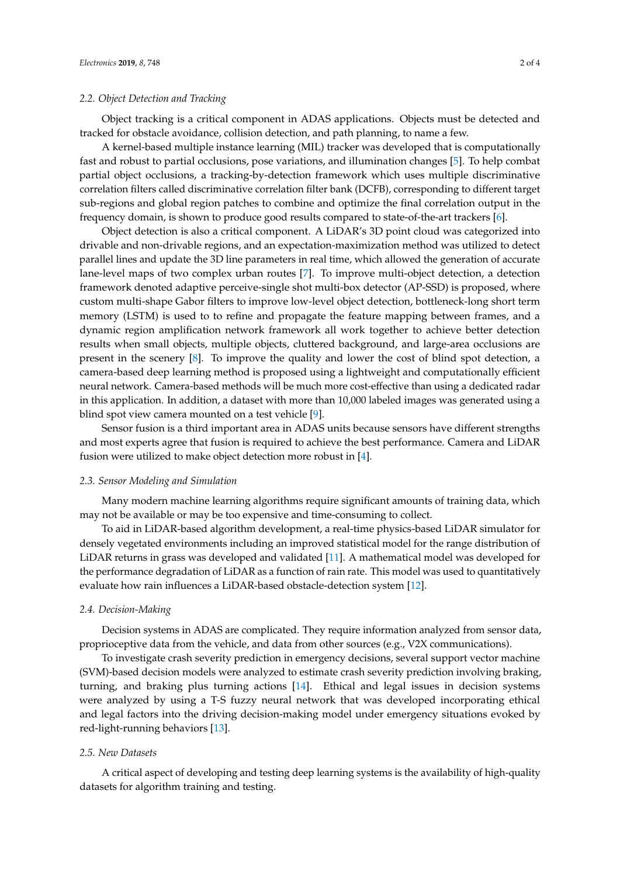## <span id="page-1-0"></span>*2.2. Object Detection and Tracking*

Object tracking is a critical component in ADAS applications. Objects must be detected and tracked for obstacle avoidance, collision detection, and path planning, to name a few.

A kernel-based multiple instance learning (MIL) tracker was developed that is computationally fast and robust to partial occlusions, pose variations, and illumination changes [\[5\]](#page-3-13). To help combat partial object occlusions, a tracking-by-detection framework which uses multiple discriminative correlation filters called discriminative correlation filter bank (DCFB), corresponding to different target sub-regions and global region patches to combine and optimize the final correlation output in the frequency domain, is shown to produce good results compared to state-of-the-art trackers [\[6\]](#page-3-14).

Object detection is also a critical component. A LiDAR's 3D point cloud was categorized into drivable and non-drivable regions, and an expectation-maximization method was utilized to detect parallel lines and update the 3D line parameters in real time, which allowed the generation of accurate lane-level maps of two complex urban routes [\[7\]](#page-3-15). To improve multi-object detection, a detection framework denoted adaptive perceive-single shot multi-box detector (AP-SSD) is proposed, where custom multi-shape Gabor filters to improve low-level object detection, bottleneck-long short term memory (LSTM) is used to to refine and propagate the feature mapping between frames, and a dynamic region amplification network framework all work together to achieve better detection results when small objects, multiple objects, cluttered background, and large-area occlusions are present in the scenery [\[8\]](#page-3-16). To improve the quality and lower the cost of blind spot detection, a camera-based deep learning method is proposed using a lightweight and computationally efficient neural network. Camera-based methods will be much more cost-effective than using a dedicated radar in this application. In addition, a dataset with more than 10,000 labeled images was generated using a blind spot view camera mounted on a test vehicle [\[9\]](#page-3-7).

Sensor fusion is a third important area in ADAS units because sensors have different strengths and most experts agree that fusion is required to achieve the best performance. Camera and LiDAR fusion were utilized to make object detection more robust in [\[4\]](#page-3-1).

#### *2.3. Sensor Modeling and Simulation*

Many modern machine learning algorithms require significant amounts of training data, which may not be available or may be too expensive and time-consuming to collect.

To aid in LiDAR-based algorithm development, a real-time physics-based LiDAR simulator for densely vegetated environments including an improved statistical model for the range distribution of LiDAR returns in grass was developed and validated [\[11\]](#page-3-3). A mathematical model was developed for the performance degradation of LiDAR as a function of rain rate. This model was used to quantitatively evaluate how rain influences a LiDAR-based obstacle-detection system [\[12\]](#page-3-4).

#### *2.4. Decision-Making*

Decision systems in ADAS are complicated. They require information analyzed from sensor data, proprioceptive data from the vehicle, and data from other sources (e.g., V2X communications).

To investigate crash severity prediction in emergency decisions, several support vector machine (SVM)-based decision models were analyzed to estimate crash severity prediction involving braking, turning, and braking plus turning actions [\[14\]](#page-3-6). Ethical and legal issues in decision systems were analyzed by using a T-S fuzzy neural network that was developed incorporating ethical and legal factors into the driving decision-making model under emergency situations evoked by red-light-running behaviors [\[13\]](#page-3-5).

#### *2.5. New Datasets*

A critical aspect of developing and testing deep learning systems is the availability of high-quality datasets for algorithm training and testing.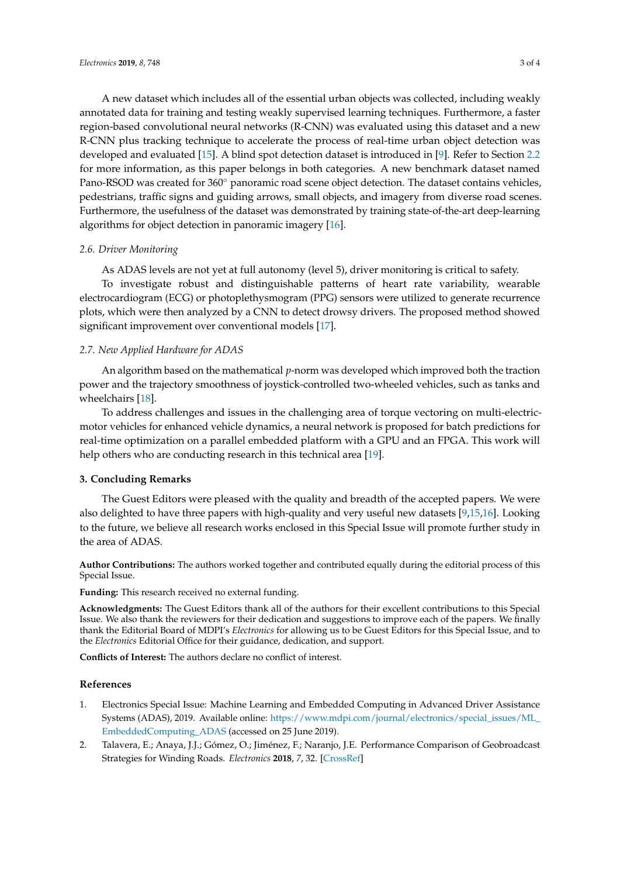A new dataset which includes all of the essential urban objects was collected, including weakly annotated data for training and testing weakly supervised learning techniques. Furthermore, a faster region-based convolutional neural networks (R-CNN) was evaluated using this dataset and a new R-CNN plus tracking technique to accelerate the process of real-time urban object detection was developed and evaluated [\[15\]](#page-3-8). A blind spot detection dataset is introduced in [\[9\]](#page-3-7). Refer to Section [2.2](#page-1-0) for more information, as this paper belongs in both categories. A new benchmark dataset named Pano-RSOD was created for 360◦ panoramic road scene object detection. The dataset contains vehicles, pedestrians, traffic signs and guiding arrows, small objects, and imagery from diverse road scenes. Furthermore, the usefulness of the dataset was demonstrated by training state-of-the-art deep-learning algorithms for object detection in panoramic imagery [\[16\]](#page-3-9).

## *2.6. Driver Monitoring*

As ADAS levels are not yet at full autonomy (level 5), driver monitoring is critical to safety.

To investigate robust and distinguishable patterns of heart rate variability, wearable electrocardiogram (ECG) or photoplethysmogram (PPG) sensors were utilized to generate recurrence plots, which were then analyzed by a CNN to detect drowsy drivers. The proposed method showed significant improvement over conventional models [\[17\]](#page-3-10).

## *2.7. New Applied Hardware for ADAS*

An algorithm based on the mathematical *p*-norm was developed which improved both the traction power and the trajectory smoothness of joystick-controlled two-wheeled vehicles, such as tanks and wheelchairs [\[18\]](#page-3-11).

To address challenges and issues in the challenging area of torque vectoring on multi-electricmotor vehicles for enhanced vehicle dynamics, a neural network is proposed for batch predictions for real-time optimization on a parallel embedded platform with a GPU and an FPGA. This work will help others who are conducting research in this technical area [\[19\]](#page-3-12).

## **3. Concluding Remarks**

The Guest Editors were pleased with the quality and breadth of the accepted papers. We were also delighted to have three papers with high-quality and very useful new datasets [\[9,](#page-3-7)[15,](#page-3-8)[16\]](#page-3-9). Looking to the future, we believe all research works enclosed in this Special Issue will promote further study in the area of ADAS.

**Author Contributions:** The authors worked together and contributed equally during the editorial process of this Special Issue.

**Funding:** This research received no external funding.

**Acknowledgments:** The Guest Editors thank all of the authors for their excellent contributions to this Special Issue. We also thank the reviewers for their dedication and suggestions to improve each of the papers. We finally thank the Editorial Board of MDPI's *Electronics* for allowing us to be Guest Editors for this Special Issue, and to the *Electronics* Editorial Office for their guidance, dedication, and support.

**Conflicts of Interest:** The authors declare no conflict of interest.

## **References**

- <span id="page-2-0"></span>1. Electronics Special Issue: Machine Learning and Embedded Computing in Advanced Driver Assistance Systems (ADAS), 2019. Available online: [https://www.mdpi.com/journal/electronics/special\\_issues/ML\\_](https://www.mdpi.com/journal/electronics/special_issues/ML_EmbeddedComputing_ADAS) [EmbeddedComputing\\_ADAS](https://www.mdpi.com/journal/electronics/special_issues/ML_EmbeddedComputing_ADAS) (accessed on 25 June 2019).
- <span id="page-2-1"></span>2. Talavera, E.; Anaya, J.J.; Gómez, O.; Jiménez, F.; Naranjo, J.E. Performance Comparison of Geobroadcast Strategies for Winding Roads. *Electronics* **2018**, *7*, 32. [\[CrossRef\]](http://dx.doi.org/10.3390/electronics7030032)